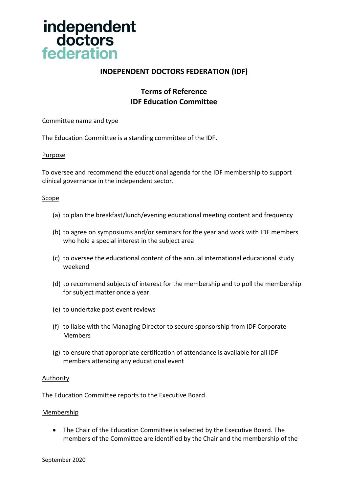

# **INDEPENDENT DOCTORS FEDERATION (IDF)**

# **Terms of Reference IDF Education Committee**

# Committee name and type

The Education Committee is a standing committee of the IDF.

#### **Purpose**

To oversee and recommend the educational agenda for the IDF membership to support clinical governance in the independent sector.

#### **Scope**

- (a) to plan the breakfast/lunch/evening educational meeting content and frequency
- (b) to agree on symposiums and/or seminars for the year and work with IDF members who hold a special interest in the subject area
- (c) to oversee the educational content of the annual international educational study weekend
- (d) to recommend subjects of interest for the membership and to poll the membership for subject matter once a year
- (e) to undertake post event reviews
- (f) to liaise with the Managing Director to secure sponsorship from IDF Corporate Members
- (g) to ensure that appropriate certification of attendance is available for all IDF members attending any educational event

#### **Authority**

The Education Committee reports to the Executive Board.

#### **Membership**

• The Chair of the Education Committee is selected by the Executive Board. The members of the Committee are identified by the Chair and the membership of the